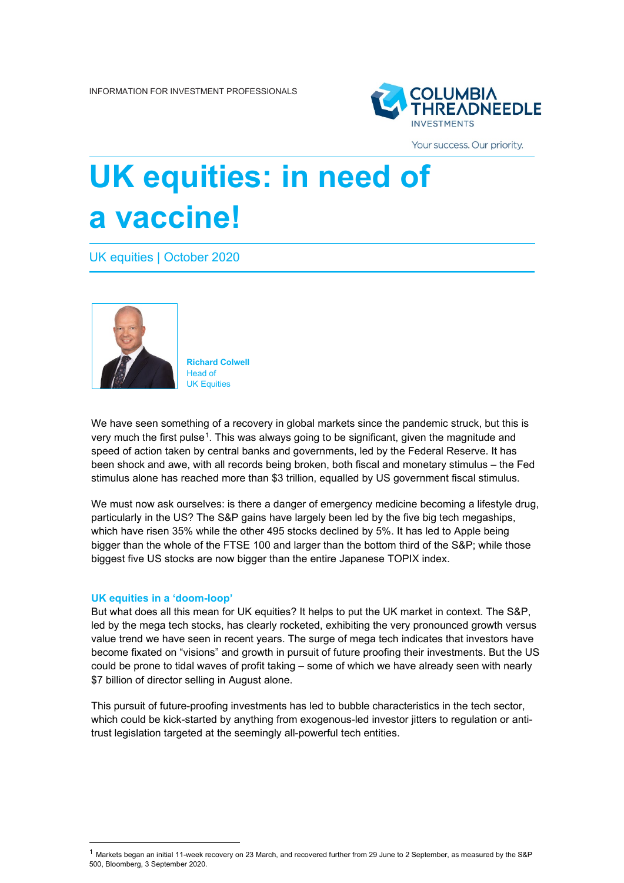

Your success. Our priority.

# **UK equities: in need of a vaccine!**

UK equities | October 2020



**Richard Colwell** Head of UK Equities

We have seen something of a recovery in global markets since the pandemic struck, but this is very much the first pulse[1.](#page-0-0) This was always going to be significant, given the magnitude and speed of action taken by central banks and governments, led by the Federal Reserve. It has been shock and awe, with all records being broken, both fiscal and monetary stimulus – the Fed stimulus alone has reached more than \$3 trillion, equalled by US government fiscal stimulus.

We must now ask ourselves: is there a danger of emergency medicine becoming a lifestyle drug, particularly in the US? The S&P gains have largely been led by the five big tech megaships, which have risen 35% while the other 495 stocks declined by 5%. It has led to Apple being bigger than the whole of the FTSE 100 and larger than the bottom third of the S&P; while those biggest five US stocks are now bigger than the entire Japanese TOPIX index.

#### **UK equities in a 'doom-loop'**

But what does all this mean for UK equities? It helps to put the UK market in context. The S&P, led by the mega tech stocks, has clearly rocketed, exhibiting the very pronounced growth versus value trend we have seen in recent years. The surge of mega tech indicates that investors have become fixated on "visions" and growth in pursuit of future proofing their investments. But the US could be prone to tidal waves of profit taking – some of which we have already seen with nearly \$7 billion of director selling in August alone.

This pursuit of future-proofing investments has led to bubble characteristics in the tech sector, which could be kick-started by anything from exogenous-led investor jitters to regulation or antitrust legislation targeted at the seemingly all-powerful tech entities.

<span id="page-0-0"></span> $^1$  Markets began an initial 11-week recovery on 23 March, and recovered further from 29 June to 2 September, as measured by the S&P 500, Bloomberg, 3 September 2020.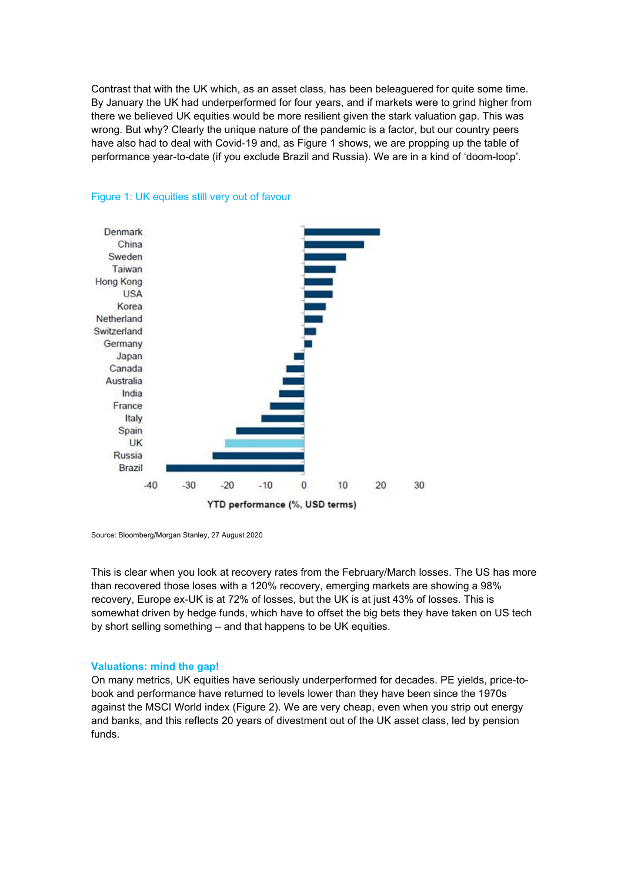Contrast that with the UK which, as an asset class, has been beleaguered for quite some time. By January the UK had underperformed for four years, and if markets were to grind higher from there we believed UK equities would be more resilient given the stark valuation gap. This was wrong. But why? Clearly the unique nature of the pandemic is a factor, but our country peers have also had to deal with Covid-19 and, as Figure 1 shows, we are propping up the table of performance year-to-date (if you exclude Brazil and Russia). We are in a kind of 'doom-loop'.





Source: Bloomberg/Morgan Stanley, 27 August 2020

This is clear when you look at recovery rates from the February/March losses. The US has more than recovered those loses with a 120% recovery, emerging markets are showing a 98% recovery, Europe ex-UK is at 72% of losses, but the UK is at just 43% of losses. This is somewhat driven by hedge funds, which have to offset the big bets they have taken on US tech by short selling something – and that happens to be UK equities.

#### **Valuations: mind the gap!**

On many metrics, UK equities have seriously underperformed for decades. PE yields, price-tobook and performance have returned to levels lower than they have been since the 1970s against the MSCI World index (Figure 2). We are very cheap, even when you strip out energy and banks, and this reflects 20 years of divestment out of the UK asset class, led by pension funds.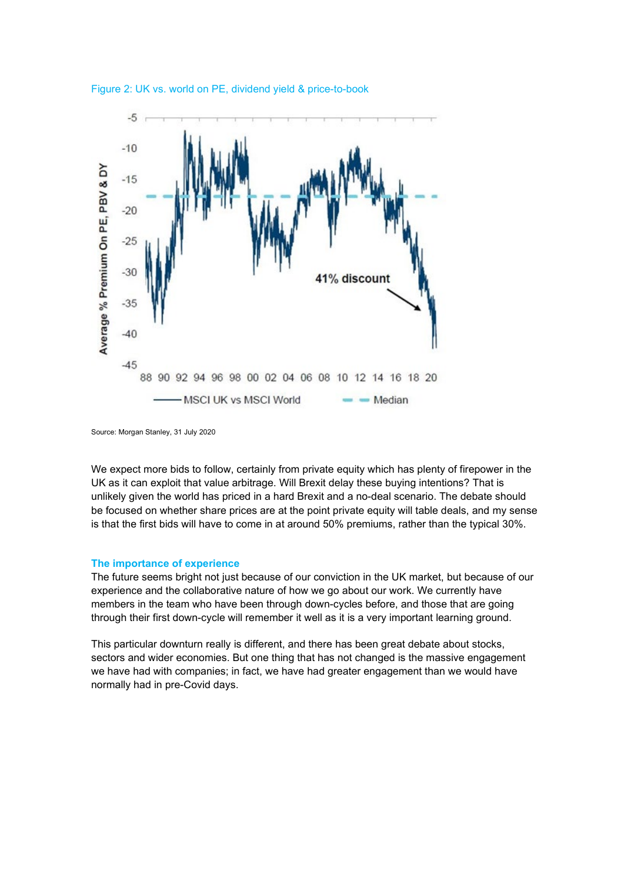



We expect more bids to follow, certainly from private equity which has plenty of firepower in the UK as it can exploit that value arbitrage. Will Brexit delay these buying intentions? That is unlikely given the world has priced in a hard Brexit and a no-deal scenario. The debate should be focused on whether share prices are at the point private equity will table deals, and my sense is that the first bids will have to come in at around 50% premiums, rather than the typical 30%.

#### **The importance of experience**

The future seems bright not just because of our conviction in the UK market, but because of our experience and the collaborative nature of how we go about our work. We currently have members in the team who have been through down-cycles before, and those that are going through their first down-cycle will remember it well as it is a very important learning ground.

This particular downturn really is different, and there has been great debate about stocks, sectors and wider economies. But one thing that has not changed is the massive engagement we have had with companies; in fact, we have had greater engagement than we would have normally had in pre-Covid days.

Source: Morgan Stanley, 31 July 2020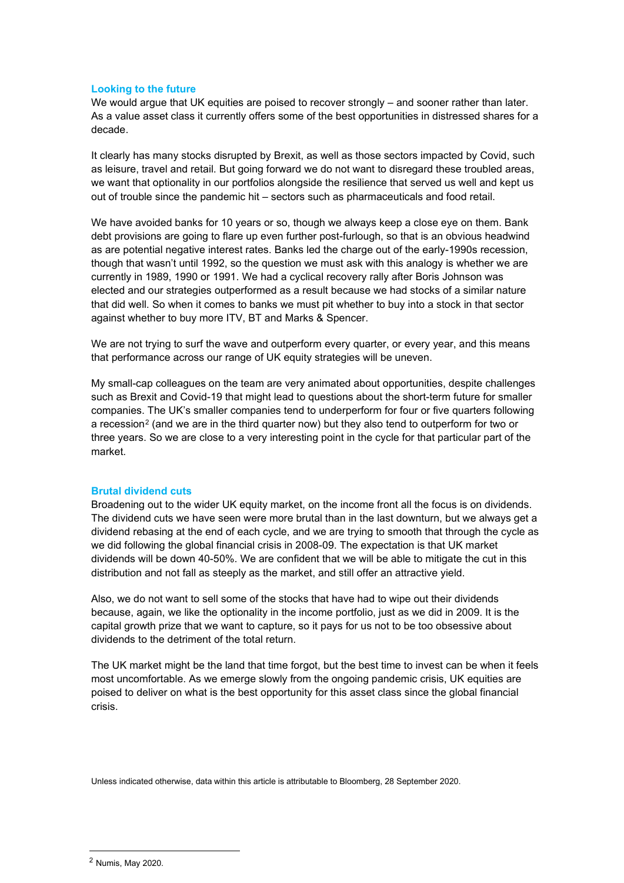### **Looking to the future**

We would argue that UK equities are poised to recover strongly – and sooner rather than later. As a value asset class it currently offers some of the best opportunities in distressed shares for a decade.

It clearly has many stocks disrupted by Brexit, as well as those sectors impacted by Covid, such as leisure, travel and retail. But going forward we do not want to disregard these troubled areas, we want that optionality in our portfolios alongside the resilience that served us well and kept us out of trouble since the pandemic hit – sectors such as pharmaceuticals and food retail.

We have avoided banks for 10 years or so, though we always keep a close eye on them. Bank debt provisions are going to flare up even further post-furlough, so that is an obvious headwind as are potential negative interest rates. Banks led the charge out of the early-1990s recession, though that wasn't until 1992, so the question we must ask with this analogy is whether we are currently in 1989, 1990 or 1991. We had a cyclical recovery rally after Boris Johnson was elected and our strategies outperformed as a result because we had stocks of a similar nature that did well. So when it comes to banks we must pit whether to buy into a stock in that sector against whether to buy more ITV, BT and Marks & Spencer.

We are not trying to surf the wave and outperform every quarter, or every year, and this means that performance across our range of UK equity strategies will be uneven.

My small-cap colleagues on the team are very animated about opportunities, despite challenges such as Brexit and Covid-19 that might lead to questions about the short-term future for smaller companies. The UK's smaller companies tend to underperform for four or five quarters following a recession<sup>[2](#page-3-0)</sup> (and we are in the third quarter now) but they also tend to outperform for two or three years. So we are close to a very interesting point in the cycle for that particular part of the market.

## **Brutal dividend cuts**

Broadening out to the wider UK equity market, on the income front all the focus is on dividends. The dividend cuts we have seen were more brutal than in the last downturn, but we always get a dividend rebasing at the end of each cycle, and we are trying to smooth that through the cycle as we did following the global financial crisis in 2008-09. The expectation is that UK market dividends will be down 40-50%. We are confident that we will be able to mitigate the cut in this distribution and not fall as steeply as the market, and still offer an attractive yield.

Also, we do not want to sell some of the stocks that have had to wipe out their dividends because, again, we like the optionality in the income portfolio, just as we did in 2009. It is the capital growth prize that we want to capture, so it pays for us not to be too obsessive about dividends to the detriment of the total return.

The UK market might be the land that time forgot, but the best time to invest can be when it feels most uncomfortable. As we emerge slowly from the ongoing pandemic crisis, UK equities are poised to deliver on what is the best opportunity for this asset class since the global financial crisis.

Unless indicated otherwise, data within this article is attributable to Bloomberg, 28 September 2020.

<span id="page-3-0"></span><sup>2</sup> Numis, May 2020.